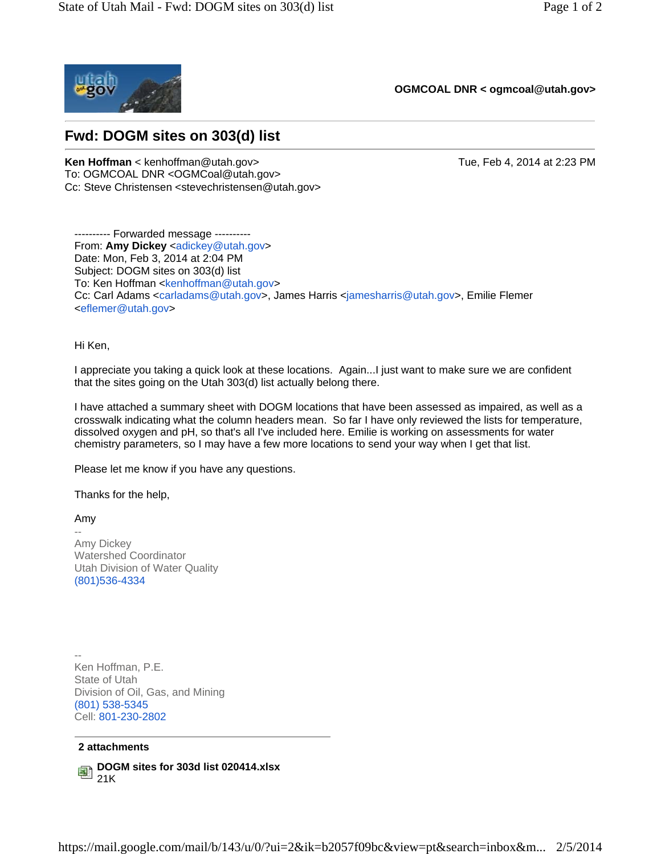

**OGMCOAL DNR < ogmcoal@utah.gov>** 

## **Fwd: DOGM sites on 303(d) list**

**Ken Hoffman** < kenhoffman@utah.gov> Tue, Feb 4, 2014 at 2:23 PM To: OGMCOAL DNR < OGMCoal@utah.gov> Cc: Steve Christensen <stevechristensen@utah.gov>

---------- Forwarded message ---------- From: Amy Dickey <adickey@utah.gov> Date: Mon, Feb 3, 2014 at 2:04 PM Subject: DOGM sites on 303(d) list To: Ken Hoffman <kenhoffman@utah.gov> Cc: Carl Adams <carladams@utah.gov>, James Harris <jamesharris@utah.gov>, Emilie Flemer <eflemer@utah.gov>

Hi Ken,

I appreciate you taking a quick look at these locations. Again...I just want to make sure we are confident that the sites going on the Utah 303(d) list actually belong there.

I have attached a summary sheet with DOGM locations that have been assessed as impaired, as well as a crosswalk indicating what the column headers mean. So far I have only reviewed the lists for temperature, dissolved oxygen and pH, so that's all I've included here. Emilie is working on assessments for water chemistry parameters, so I may have a few more locations to send your way when I get that list.

Please let me know if you have any questions.

Thanks for the help,

Amy --

Amy Dickey Watershed Coordinator Utah Division of Water Quality (801)536-4334

-- Ken Hoffman, P.E. State of Utah Division of Oil, Gas, and Mining (801) 538-5345 Cell: 801-230-2802

## **2 attachments**

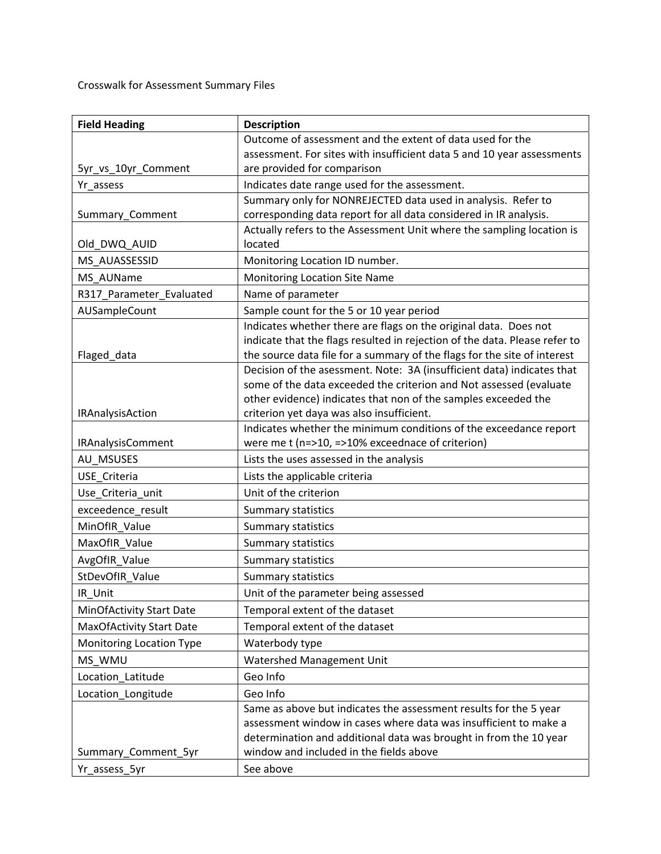Crosswalk for Assessment Summary Files

| <b>Field Heading</b>            | <b>Description</b>                                                               |
|---------------------------------|----------------------------------------------------------------------------------|
|                                 | Outcome of assessment and the extent of data used for the                        |
|                                 | assessment. For sites with insufficient data 5 and 10 year assessments           |
| 5yr_vs_10yr_Comment             | are provided for comparison                                                      |
| Yr assess                       | Indicates date range used for the assessment.                                    |
|                                 | Summary only for NONREJECTED data used in analysis. Refer to                     |
| Summary_Comment                 | corresponding data report for all data considered in IR analysis.                |
| Old_DWQ_AUID                    | Actually refers to the Assessment Unit where the sampling location is<br>located |
| MS AUASSESSID                   | Monitoring Location ID number.                                                   |
| MS_AUName                       | <b>Monitoring Location Site Name</b>                                             |
| R317_Parameter_Evaluated        | Name of parameter                                                                |
| AUSampleCount                   | Sample count for the 5 or 10 year period                                         |
|                                 | Indicates whether there are flags on the original data. Does not                 |
|                                 | indicate that the flags resulted in rejection of the data. Please refer to       |
| Flaged_data                     | the source data file for a summary of the flags for the site of interest         |
|                                 | Decision of the asessment. Note: 3A (insufficient data) indicates that           |
|                                 | some of the data exceeded the criterion and Not assessed (evaluate               |
|                                 | other evidence) indicates that non of the samples exceeded the                   |
| IRAnalysisAction                | criterion yet daya was also insufficient.                                        |
|                                 | Indicates whether the minimum conditions of the exceedance report                |
| IRAnalysisComment               | were me t (n=>10, =>10% exceednace of criterion)                                 |
| AU_MSUSES                       | Lists the uses assessed in the analysis                                          |
| USE Criteria                    | Lists the applicable criteria                                                    |
| Use_Criteria_unit               | Unit of the criterion                                                            |
| exceedence result               | Summary statistics                                                               |
| MinOfIR_Value                   | Summary statistics                                                               |
| MaxOfIR_Value                   | <b>Summary statistics</b>                                                        |
| AvgOfIR_Value                   | Summary statistics                                                               |
| StDevOfIR Value                 | <b>Summary statistics</b>                                                        |
| IR Unit                         | Unit of the parameter being assessed                                             |
| <b>MinOfActivity Start Date</b> | Temporal extent of the dataset                                                   |
| <b>MaxOfActivity Start Date</b> | Temporal extent of the dataset                                                   |
| <b>Monitoring Location Type</b> | Waterbody type                                                                   |
| MS WMU                          | Watershed Management Unit                                                        |
| Location_Latitude               | Geo Info                                                                         |
| Location_Longitude              | Geo Info                                                                         |
|                                 | Same as above but indicates the assessment results for the 5 year                |
|                                 | assessment window in cases where data was insufficient to make a                 |
|                                 | determination and additional data was brought in from the 10 year                |
| Summary_Comment_5yr             | window and included in the fields above                                          |
| Yr_assess_5yr                   | See above                                                                        |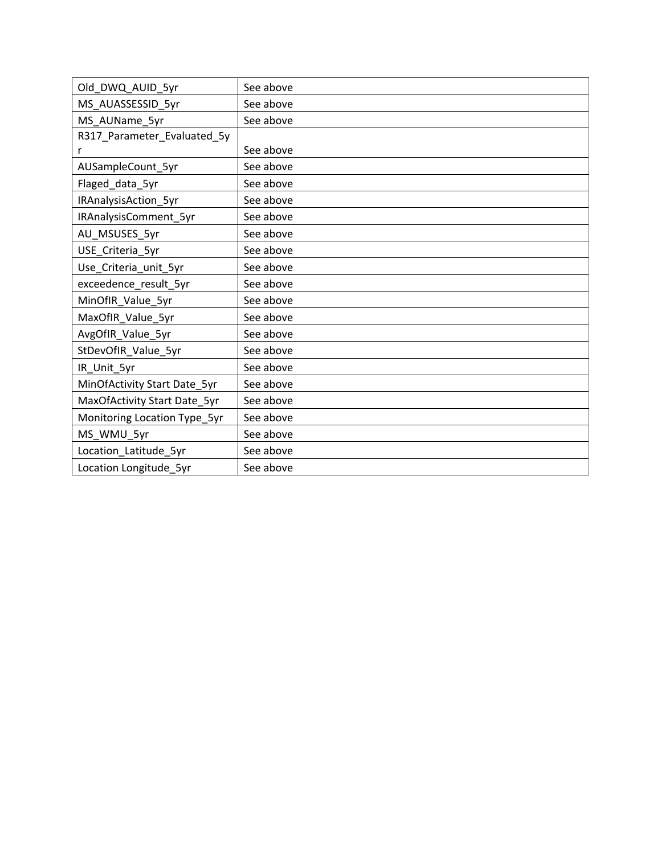| Old_DWQ_AUID_5yr             | See above |
|------------------------------|-----------|
| MS_AUASSESSID_5yr            | See above |
| MS_AUName_5yr                | See above |
| R317_Parameter_Evaluated_5y  |           |
| r                            | See above |
| AUSampleCount_5yr            | See above |
| Flaged_data_5yr              | See above |
| IRAnalysisAction_5yr         | See above |
| IRAnalysisComment_5yr        | See above |
| AU_MSUSES_5yr                | See above |
| USE_Criteria_5yr             | See above |
| Use_Criteria_unit_5yr        | See above |
| exceedence_result_5yr        | See above |
| MinOfIR_Value_5yr            | See above |
| MaxOfIR_Value_5yr            | See above |
| AvgOfIR_Value_5yr            | See above |
| StDevOfIR_Value_5yr          | See above |
| IR_Unit_5yr                  | See above |
| MinOfActivity Start Date_5yr | See above |
| MaxOfActivity Start Date_5yr | See above |
| Monitoring Location Type_5yr | See above |
| MS_WMU_5yr                   | See above |
| Location_Latitude_5yr        | See above |
| Location Longitude_5yr       | See above |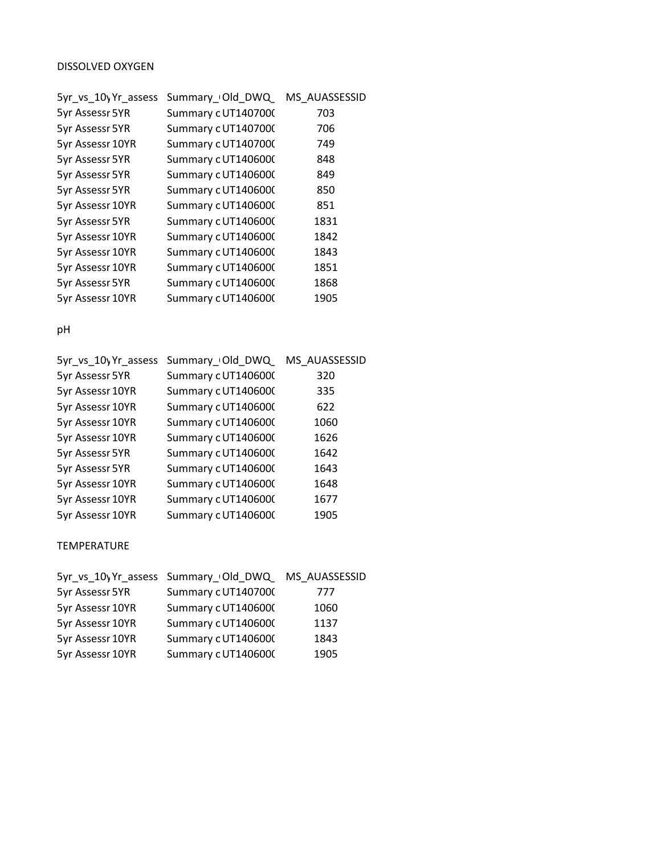## DISSOLVED OXYGEN

| 5yr_vs_10y Yr_assess | Summary_Old_DWQ     | MS AUASSESSID |
|----------------------|---------------------|---------------|
| 5yr Assessr 5YR      | Summary c UT1407000 | 703           |
| 5yr Assessr 5YR      | Summary c UT1407000 | 706           |
| 5yr Assessr 10YR     | Summary c UT1407000 | 749           |
| 5yr Assessr 5YR      | Summary c UT1406000 | 848           |
| 5yr Assessr 5YR      | Summary c UT1406000 | 849           |
| 5yr Assessr 5YR      | Summary c UT1406000 | 850           |
| 5yr Assessr 10YR     | Summary c UT1406000 | 851           |
| 5yr Assessr 5YR      | Summary c UT1406000 | 1831          |
| 5yr Assessr 10YR     | Summary c UT1406000 | 1842          |
| 5yr Assessr 10YR     | Summary c UT1406000 | 1843          |
| 5yr Assessr 10YR     | Summary c UT1406000 | 1851          |
| 5yr Assessr 5YR      | Summary c UT1406000 | 1868          |
| 5yr Assessr 10YR     | Summary c UT1406000 | 1905          |
|                      |                     |               |

pH

| 5yr_vs_10y Yr_assess | Summary Old DWQ     | MS AUASSESSID |
|----------------------|---------------------|---------------|
| 5yr Assessr 5YR      | Summary c UT1406000 | 320           |
| 5yr Assessr 10YR     | Summary cUT1406000  | 335           |
| 5yr Assessr 10YR     | Summary c UT1406000 | 622           |
| 5yr Assessr 10YR     | Summary cUT1406000  | 1060          |
| 5yr Assessr 10YR     | Summary c UT1406000 | 1626          |
| 5yr Assessr 5YR      | Summary c UT1406000 | 1642          |
| 5yr Assessr 5YR      | Summary c UT1406000 | 1643          |
| 5yr Assessr 10YR     | Summary c UT1406000 | 1648          |
| 5yr Assessr 10YR     | Summary c UT1406000 | 1677          |
| 5yr Assessr 10YR     | Summary c UT1406000 | 1905          |

TEMPERATURE

| Summary c UT1407000 | 777                                                |
|---------------------|----------------------------------------------------|
| Summary c UT1406000 | 1060                                               |
| Summary c UT1406000 | 1137                                               |
| Summary c UT1406000 | 1843                                               |
| Summary c UT1406000 | 1905                                               |
|                     | 5yr_vs_10yYr_assess Summary_Old_DWQ_ MS_AUASSESSID |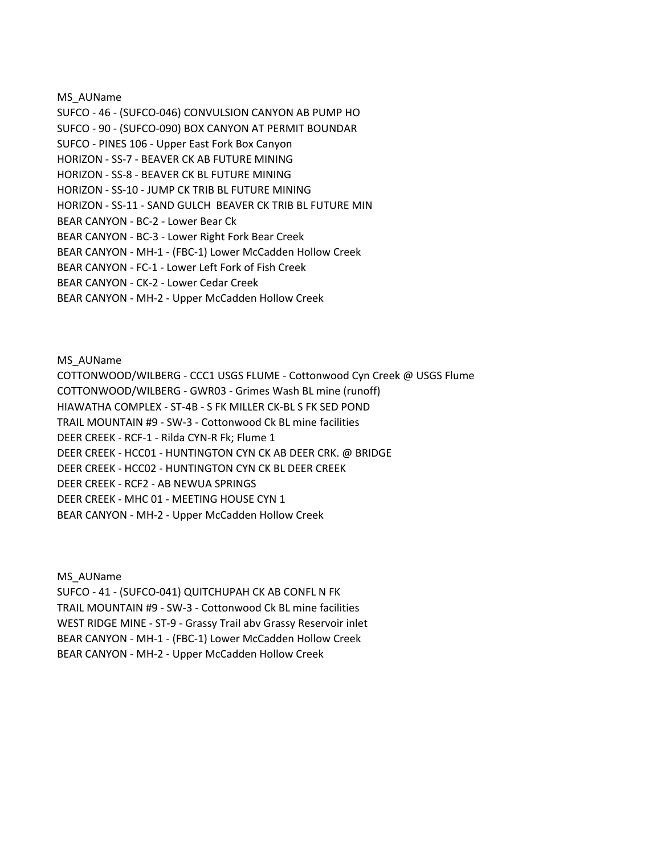MS\_AUName

SUFCO ‐ 46 ‐ (SUFCO‐046) CONVULSION CANYON AB PUMP HO SUFCO ‐ 90 ‐ (SUFCO‐090) BOX CANYON AT PERMIT BOUNDAR SUFCO ‐ PINES 106 ‐ Upper East Fork Box Canyon HORIZON ‐ SS‐7 ‐ BEAVER CK AB FUTURE MINING HORIZON ‐ SS‐8 ‐ BEAVER CK BL FUTURE MINING HORIZON ‐ SS‐10 ‐ JUMP CK TRIB BL FUTURE MINING HORIZON ‐ SS‐11 ‐ SAND GULCH BEAVER CK TRIB BL FUTURE MIN BEAR CANYON ‐ BC‐2 ‐ Lower Bear Ck BEAR CANYON ‐ BC‐3 ‐ Lower Right Fork Bear Creek BEAR CANYON ‐ MH‐1 ‐ (FBC‐1) Lower McCadden Hollow Creek BEAR CANYON ‐ FC‐1 ‐ Lower Left Fork of Fish Creek BEAR CANYON ‐ CK‐2 ‐ Lower Cedar Creek

BEAR CANYON ‐ MH‐2 ‐ Upper McCadden Hollow Creek

MS\_AUName

COTTONWOOD/WILBERG ‐ CCC1 USGS FLUME ‐ Cottonwood Cyn Creek @ USGS Flume COTTONWOOD/WILBERG ‐ GWR03 ‐ Grimes Wash BL mine (runoff) HIAWATHA COMPLEX ‐ ST‐4B ‐ S FK MILLER CK‐BL S FK SED POND TRAIL MOUNTAIN #9 ‐ SW‐3 ‐ Cottonwood Ck BL mine facilities DEER CREEK ‐ RCF‐1 ‐ Rilda CYN‐R Fk; Flume 1 DEER CREEK ‐ HCC01 ‐ HUNTINGTON CYN CK AB DEER CRK. @ BRIDGE DEER CREEK ‐ HCC02 ‐ HUNTINGTON CYN CK BL DEER CREEK DEER CREEK ‐ RCF2 ‐ AB NEWUA SPRINGS DEER CREEK ‐ MHC 01 ‐ MEETING HOUSE CYN 1 BEAR CANYON ‐ MH‐2 ‐ Upper McCadden Hollow Creek

MS\_AUName

SUFCO ‐ 41 ‐ (SUFCO‐041) QUITCHUPAH CK AB CONFL N FK TRAIL MOUNTAIN #9 ‐ SW‐3 ‐ Cottonwood Ck BL mine facilities WEST RIDGE MINE ‐ ST‐9 ‐ Grassy Trail abv Grassy Reservoir inlet BEAR CANYON ‐ MH‐1 ‐ (FBC‐1) Lower McCadden Hollow Creek BEAR CANYON ‐ MH‐2 ‐ Upper McCadden Hollow Creek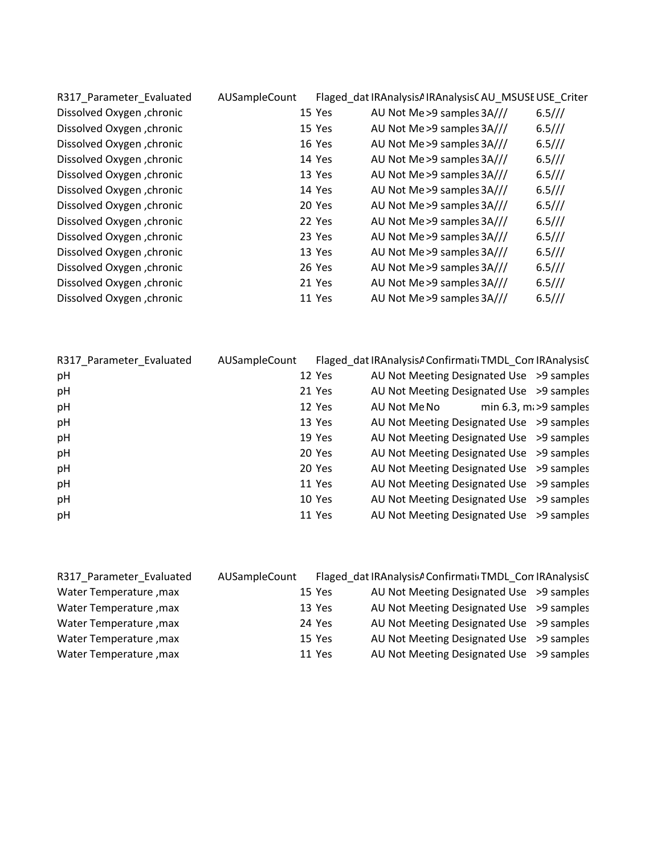| R317_Parameter_Evaluated   | AUSampleCount |        | Flaged dat IRAnalysisAIRAnalysisCAU MSUSEUSE Criter |        |
|----------------------------|---------------|--------|-----------------------------------------------------|--------|
| Dissolved Oxygen , chronic |               | 15 Yes | AU Not Me > 9 samples 3A///                         | 6.5/// |
| Dissolved Oxygen , chronic |               | 15 Yes | AU Not Me > 9 samples 3A///                         | 6.5/// |
| Dissolved Oxygen , chronic |               | 16 Yes | AU Not Me > 9 samples 3A///                         | 6.5/// |
| Dissolved Oxygen , chronic |               | 14 Yes | AU Not Me > 9 samples 3A///                         | 6.5/// |
| Dissolved Oxygen , chronic |               | 13 Yes | AU Not Me > 9 samples 3A///                         | 6.5/// |
| Dissolved Oxygen , chronic |               | 14 Yes | AU Not Me > 9 samples 3A///                         | 6.5/// |
| Dissolved Oxygen , chronic |               | 20 Yes | AU Not Me > 9 samples 3A///                         | 6.5/// |
| Dissolved Oxygen , chronic |               | 22 Yes | AU Not Me > 9 samples 3A///                         | 6.5/// |
| Dissolved Oxygen , chronic |               | 23 Yes | AU Not Me > 9 samples 3A///                         | 6.5/// |
| Dissolved Oxygen , chronic |               | 13 Yes | AU Not Me > 9 samples 3A///                         | 6.5/// |
| Dissolved Oxygen , chronic |               | 26 Yes | AU Not Me > 9 samples 3A///                         | 6.5/// |
| Dissolved Oxygen , chronic |               | 21 Yes | AU Not Me > 9 samples 3A///                         | 6.5/// |
| Dissolved Oxygen , chronic |               | 11 Yes | AU Not Me > 9 samples 3A///                         | 6.5/// |
|                            |               |        |                                                     |        |

| R317 Parameter Evaluated | AUSampleCount |        | Flaged dat IRAnalysisA Confirmati TMDL Con IRAnalysisC |                             |
|--------------------------|---------------|--------|--------------------------------------------------------|-----------------------------|
| pH                       |               | 12 Yes | AU Not Meeting Designated Use >9 samples               |                             |
| pH                       |               | 21 Yes | AU Not Meeting Designated Use >9 samples               |                             |
| pH                       |               | 12 Yes | AU Not Me No                                           | min $6.3$ , ma $>9$ samples |
| pH                       |               | 13 Yes | AU Not Meeting Designated Use >9 samples               |                             |
| pH                       |               | 19 Yes | AU Not Meeting Designated Use >9 samples               |                             |
| pH                       |               | 20 Yes | AU Not Meeting Designated Use >9 samples               |                             |
| pH                       |               | 20 Yes | AU Not Meeting Designated Use >9 samples               |                             |
| pH                       |               | 11 Yes | AU Not Meeting Designated Use >9 samples               |                             |
| pH                       |               | 10 Yes | AU Not Meeting Designated Use >9 samples               |                             |
| pH                       |               | 11 Yes | AU Not Meeting Designated Use >9 samples               |                             |

| R317 Parameter Evaluated | AUSampleCount |        | Flaged dat IRAnalysisA Confirmati TMDL Con IRAnalysisC |  |
|--------------------------|---------------|--------|--------------------------------------------------------|--|
| Water Temperature, max   |               | 15 Yes | AU Not Meeting Designated Use > 9 samples              |  |
| Water Temperature, max   |               | 13 Yes | AU Not Meeting Designated Use > 9 samples              |  |
| Water Temperature, max   |               | 24 Yes | AU Not Meeting Designated Use > 9 samples              |  |
| Water Temperature, max   |               | 15 Yes | AU Not Meeting Designated Use >9 samples               |  |
| Water Temperature, max   |               | 11 Yes | AU Not Meeting Designated Use > 9 samples              |  |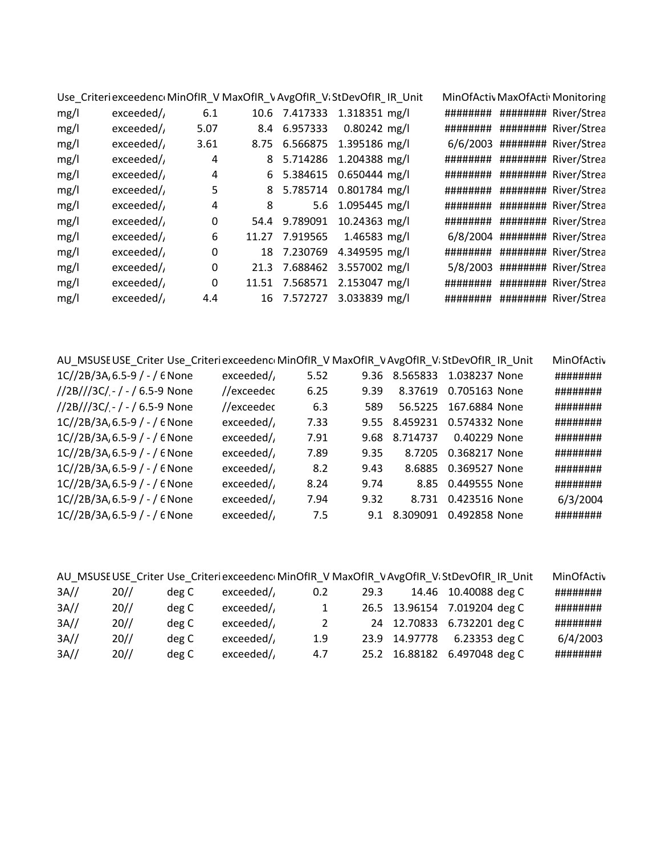|      |            |                |   | Use_Criteri exceedenc MinOfIR_V MaxOfIR_V AvgOfIR_V StDevOfIR_IR_Unit |  | MinOfActiv MaxOfActiv Monitoring |
|------|------------|----------------|---|-----------------------------------------------------------------------|--|----------------------------------|
| mg/l | exceeded/  | 6.1            |   | 10.6 7.417333 1.318351 mg/l                                           |  | ######### ######### River/Strea  |
| mg/l | exceeded/  | 5.07           |   | 8.4 6.957333 0.80242 mg/l                                             |  | ######### ######### River/Strea  |
| mg/l | exceeded/  | 3.61           |   | 8.75 6.566875 1.395186 mg/l                                           |  | 6/6/2003 ######## River/Strea    |
| mg/l | exceeded/  | $\overline{4}$ |   | 8 5.714286 1.204388 mg/l                                              |  | ######## ######### River/Strea   |
| mg/l | exceeded/  | 4              |   | 6 5.384615 0.650444 mg/l                                              |  | ######## ######### River/Strea   |
| mg/l | exceeded/  | 5              |   | 8 5.785714 0.801784 mg/l                                              |  | ######## ######### River/Strea   |
| mg/l | exceeded/  | 4              | 8 | 5.6 1.095445 mg/l                                                     |  | ######## ######### River/Strea   |
| mg/l | exceeded/  | 0              |   | 54.4 9.789091 10.24363 mg/l                                           |  | ######## ######### River/Strea   |
| mg/l | exceeded/, | 6              |   | 11.27 7.919565 1.46583 mg/l                                           |  | 6/8/2004 ######## River/Strea    |
| mg/l | exceeded   | 0              |   | 18 7.230769 4.349595 mg/l                                             |  | ######### ######### River/Strea  |
| mg/l | exceeded/  | 0              |   | 21.3 7.688462 3.557002 mg/l                                           |  | 5/8/2003 ######## River/Strea    |
| mg/l | exceeded/  | 0              |   | 11.51 7.568571 2.153047 mg/l                                          |  | ######### ######### River/Strea  |
| mg/l | exceeded   | 4.4            |   | 16 7.572727 3.033839 mg/l                                             |  | ######### ######### River/Strea  |

| AU MSUSE USE Criter Use Criteri exceedenc MinOfIR V MaxOfIR V AvgOfIR V StDevOfIR IR Unit |            |      |      |          |               | MinOfActiv |
|-------------------------------------------------------------------------------------------|------------|------|------|----------|---------------|------------|
| 1C//2B/3A, 6.5-9 / - / 6 None                                                             | exceeded/  | 5.52 | 9.36 | 8.565833 | 1.038237 None | ########   |
| //2B///3C/ - / - / 6.5-9 None                                                             | //exceedec | 6.25 | 9.39 | 8.37619  | 0.705163 None | ########   |
| //2B///3C/ - / - / 6.5-9 None                                                             | //exceedec | 6.3  | 589  | 56.5225  | 167.6884 None | ########   |
| $1C//2B/3A, 6.5-9/ - / 6$ None                                                            | exceeded/  | 7.33 | 9.55 | 8.459231 | 0.574332 None | ########   |
| 1C//2B/3A, 6.5-9 / - / 6 None                                                             | exceeded/  | 7.91 | 9.68 | 8.714737 | 0.40229 None  | ########   |
| $1C//2B/3A, 6.5-9/ - / 6$ None                                                            | exceeded/  | 7.89 | 9.35 | 8.7205   | 0.368217 None | ########   |
| $1C//2B/3A, 6.5-9/ - / 6$ None                                                            | exceeded/  | 8.2  | 9.43 | 8.6885   | 0.369527 None | ########   |
| $1C//2B/3A, 6.5-9/ - / 6$ None                                                            | exceeded   | 8.24 | 9.74 | 8.85     | 0.449555 None | ########   |
| 1C//2B/3A, 6.5-9 / - / 6 None                                                             | exceeded/  | 7.94 | 9.32 | 8.731    | 0.423516 None | 6/3/2004   |
| $1C//2B/3A, 6.5-9/ - / 6$ None                                                            | exceeded   | 7.5  | 9.1  | 8.309091 | 0.492858 None | ########   |

|         |     |       |           |     |      | AU MSUSE USE Criter Use Criteri exceedenc MinOfIR V MaxOfIR V AvgOfIR V StDevOfIR IR Unit | MinOfActiv |
|---------|-----|-------|-----------|-----|------|-------------------------------------------------------------------------------------------|------------|
| $3A$ // | 20/ | deg C | exceeded/ | 0.2 | 29.3 | 14.46 10.40088 deg C                                                                      | ########   |
| 3A//    | 20/ | deg C | exceeded/ | 1   |      | 26.5 13.96154 7.019204 deg C                                                              | ########   |
| 3A//    | 20/ | deg C | exceeded/ | 2   |      | 24 12.70833 6.732201 deg C                                                                | ########   |
| $3A$ // | 20/ | deg C | exceeded  | 1.9 |      | 23.9 14.97778 6.23353 deg C                                                               | 6/4/2003   |
| 3A//    | 20/ | deg C | exceeded  | 4.7 |      | 25.2 16.88182 6.497048 deg C                                                              | ########   |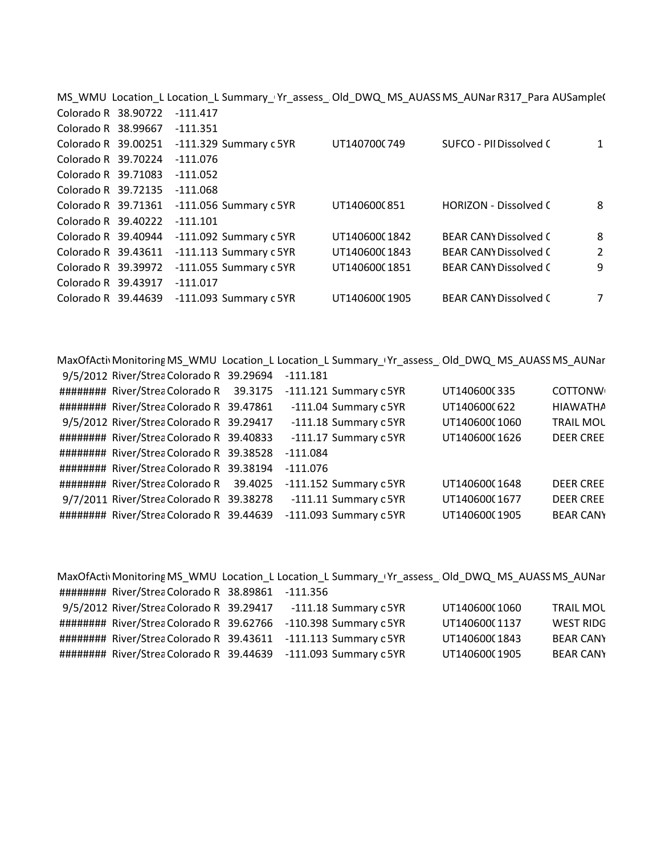|                     |                     | MS_WMU_Location_L Location_L Summary_Yr_assess_Old_DWQ_MS_AUASSMS_AUNar R317_Para AUSample( |               |                              |   |
|---------------------|---------------------|---------------------------------------------------------------------------------------------|---------------|------------------------------|---|
|                     | Colorado R 38.90722 | $-111.417$                                                                                  |               |                              |   |
|                     | Colorado R 38.99667 | $-111.351$                                                                                  |               |                              |   |
|                     |                     | Colorado R 39.00251 -111.329 Summary c 5YR                                                  | UT140700(749  | SUFCO - PII Dissolved C      | 1 |
| Colorado R 39.70224 |                     | $-111.076$                                                                                  |               |                              |   |
| Colorado R 39.71083 |                     | $-111.052$                                                                                  |               |                              |   |
|                     | Colorado R 39.72135 | $-111.068$                                                                                  |               |                              |   |
|                     | Colorado R 39.71361 | -111.056 Summary c 5YR                                                                      | UT140600(851  | <b>HORIZON - Dissolved C</b> | 8 |
|                     | Colorado R 39.40222 | $-111.101$                                                                                  |               |                              |   |
|                     | Colorado R 39.40944 | -111.092 Summary c 5YR                                                                      | UT140600(1842 | <b>BEAR CANY Dissolved C</b> | 8 |
|                     | Colorado R 39.43611 | -111.113 Summary c 5YR                                                                      | UT14060001843 | <b>BEAR CANY Dissolved C</b> | 2 |
| Colorado R 39.39972 |                     | $-111.055$ Summary c 5YR                                                                    | UT14060001851 | <b>BEAR CANY Dissolved C</b> | 9 |
| Colorado R 39.43917 |                     | $-111.017$                                                                                  |               |                              |   |
|                     | Colorado R 39.44639 | -111.093 Summary c 5YR                                                                      | UT140600(1905 | <b>BEAR CANY Dissolved C</b> | 7 |
|                     |                     |                                                                                             |               |                              |   |

MaxOfActivMonitoringMS\_WMU\_Location\_L Location\_L Summary\_Vr\_assess\_Old\_DWQ\_MS\_AUASSMS\_AUNar

| 9/5/2012 River/Strea Colorado R 39.29694 |         | $-111.181$             |               |                  |
|------------------------------------------|---------|------------------------|---------------|------------------|
| ######### River/Strea Colorado R         | 39.3175 | -111.121 Summary c 5YR | UT1406000335  | <b>COTTONW</b>   |
| ######## River/Strea Colorado R 39.47861 |         | -111.04 Summary c 5YR  | UT140600(622  | <b>HIAWATHA</b>  |
| 9/5/2012 River/Strea Colorado R 39.29417 |         | -111.18 Summary c 5YR  | UT140600(1060 | <b>TRAIL MOL</b> |
| ######## River/Strea Colorado R 39.40833 |         | -111.17 Summary c 5YR  | UT14060001626 | <b>DEER CREE</b> |
| ######## River/Strea Colorado R 39.38528 |         | $-111.084$             |               |                  |
| ######## River/Strea Colorado R 39.38194 |         | $-111.076$             |               |                  |
| ######## River/Strea Colorado R          | 39.4025 | -111.152 Summary c 5YR | UT14060001648 | <b>DEER CREE</b> |
| 9/7/2011 River/Strea Colorado R 39.38278 |         | -111.11 Summary c 5YR  | UT140600(1677 | <b>DEER CREE</b> |
| ######## River/Strea Colorado R 39.44639 |         | -111.093 Summary c 5YR | UT140600(1905 | <b>BEAR CANY</b> |

| MaxOfActiv Monitoring MS_WMU_Location_L_Location_L_Summary_Vr_assess_Old_DWQ_MS_AUASSMS_AUNar |  |                        |               |                  |
|-----------------------------------------------------------------------------------------------|--|------------------------|---------------|------------------|
| ######## River/Strea Colorado R 38.89861 -111.356                                             |  |                        |               |                  |
| 9/5/2012 River/Strea Colorado R 39.29417 -111.18 Summary c 5YR                                |  |                        | UT140600(1060 | <b>TRAIL MOL</b> |
| ######## River/Strea Colorado R 39.62766                                                      |  | -110.398 Summary c 5YR | UT140600(1137 | <b>WEST RIDG</b> |
| ######## River/Strea Colorado R 39.43611 -111.113 Summary c 5YR                               |  |                        | UT140600(1843 | <b>BEAR CANY</b> |
| ######## River/Strea Colorado R 39.44639 -111.093 Summary c 5YR                               |  |                        | UT140600(1905 | <b>BEAR CANY</b> |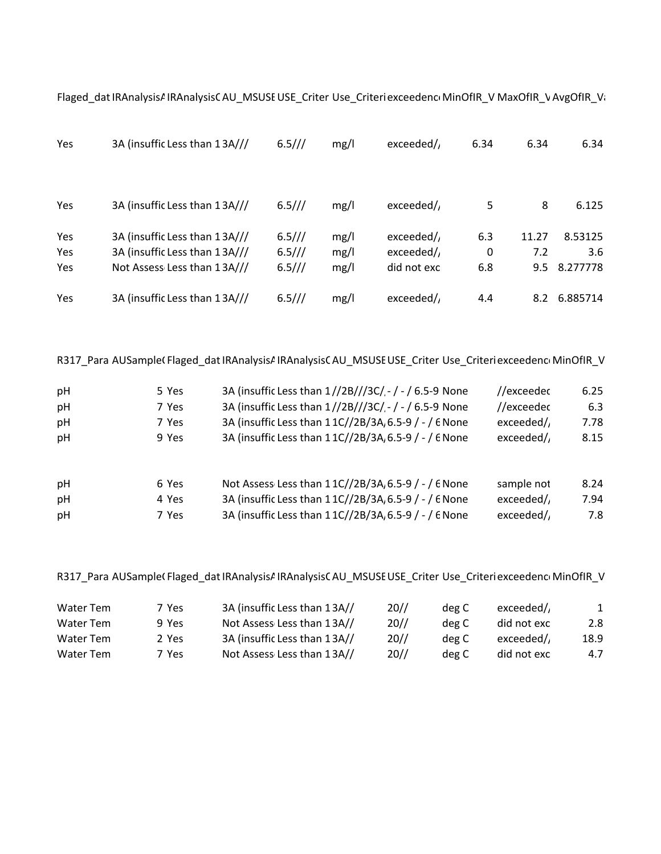| <b>Yes</b> | 3A (insuffic Less than 13A/// | 6.5/// | mg/l | exceeded/   | 6.34 | 6.34  | 6.34     |
|------------|-------------------------------|--------|------|-------------|------|-------|----------|
|            |                               |        |      |             |      |       |          |
| <b>Yes</b> | 3A (insuffic Less than 13A/// | 6.5/// | mg/l | exceeded/   | 5    | 8     | 6.125    |
| Yes        | 3A (insuffic Less than 13A/// | 6.5/// | mg/l | exceeded/   | 6.3  | 11.27 | 8.53125  |
| Yes        | 3A (insuffic Less than 13A/// | 6.5/// | mg/l | exceeded/   | 0    | 7.2   | 3.6      |
| <b>Yes</b> | Not Assess Less than 13A///   | 6.5/// | mg/l | did not exc | 6.8  | 9.5   | 8.277778 |
| Yes        | 3A (insuffic Less than 13A/// | 6.5/// | mg/l | exceeded/   | 4.4  | 8.2   | 6.885714 |

Flaged\_dat IRAnalysisAIRAnalysisCAU\_MSUSEUSE\_Criter Use\_CriteriexceedenceMinOfIR\_V MaxOfIR\_VAvgOfIR\_Vi

R317\_Para AUSampleCFlaged\_dat IRAnalysisAIRAnalysisCAU\_MSUSE USE\_Criter Use\_Criteri exceedenceMinOfIR\_V

| pH<br>pH<br>pH<br>pH | 5 Yes<br>7 Yes<br>7 Yes<br>9 Yes | 3A (insuffic Less than 1//2B///3C/ - / - / 6.5-9 None<br>3A (insuffic Less than 1//2B///3C/ - / - / 6.5-9 None<br>3A (insuffic Less than 11C//2B/3A, 6.5-9 / - / 6 None<br>3A (insuffic Less than 11C//2B/3A, 6.5-9 / - / 6 None | //exceedec<br>//exceedec<br>exceeded/<br>exceeded/ | 6.25<br>6.3<br>7.78<br>8.15 |
|----------------------|----------------------------------|----------------------------------------------------------------------------------------------------------------------------------------------------------------------------------------------------------------------------------|----------------------------------------------------|-----------------------------|
| pH                   | 6 Yes                            | Not Assess Less than 11C//2B/3A, 6.5-9 / - / 6 None                                                                                                                                                                              | sample not                                         | 8.24                        |
| pH                   | 4 Yes                            | 3A (insuffic Less than 11C//2B/3A, 6.5-9 / - / 6 None                                                                                                                                                                            | exceeded/                                          | 7.94                        |
| pH                   | 7 Yes                            | 3A (insuffic Less than 11C//2B/3A, 6.5-9 / - / 6 None                                                                                                                                                                            | exceeded/                                          | 7.8                         |

R317\_Para AUSample(Flaged\_dat IRAnalysisAIRAnalysisCAU\_MSUSE USE\_Criter Use\_Criteri exceedenci MinOfIR\_V

| Water Tem | 7 Yes | 3A (insuffic Less than 13A// | 20/ | deg C | exceeded/   | 1    |
|-----------|-------|------------------------------|-----|-------|-------------|------|
| Water Tem | 9 Yes | Not Assess Less than 13A//   | 20/ | deg C | did not exc | 2.8  |
| Water Tem | 2 Yes | 3A (insuffic Less than 13A// | 20/ | deg C | exceeded/   | 18.9 |
| Water Tem | 7 Yes | Not Assess Less than 13A//   | 20/ | deg C | did not exc | 4.7  |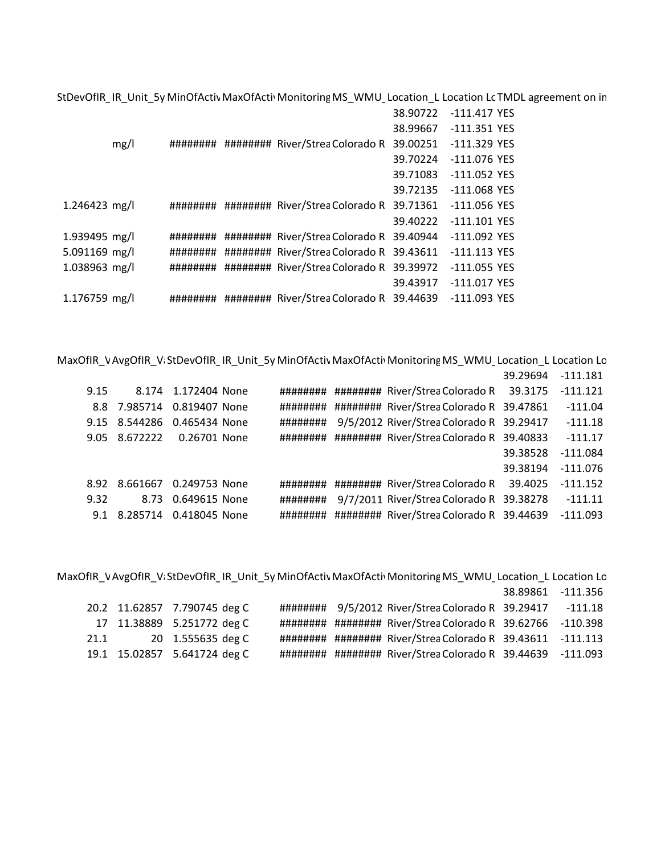StDevOfIR\_IR\_Unit\_5y MinOfActiv MaxOfActiv Monitoring MS\_WMU\_Location\_L Location LcTMDL agreement on in

|               |      |          |                                           |          | 38.90722 -111.417 YES |
|---------------|------|----------|-------------------------------------------|----------|-----------------------|
|               |      |          |                                           | 38.99667 | -111.351 YES          |
|               | mg/l |          |                                           |          | -111.329 YES          |
|               |      |          |                                           | 39.70224 | -111.076 YES          |
|               |      |          |                                           | 39.71083 | -111.052 YES          |
|               |      |          |                                           | 39.72135 | -111.068 YES          |
| 1.246423 mg/l |      |          |                                           |          | -111.056 YES          |
|               |      |          |                                           | 39.40222 | -111.101 YES          |
| 1.939495 mg/l |      | ######## | ######### River/Strea Colorado R 39.40944 |          | -111.092 YES          |
| 5.091169 mg/l |      | ######## | ######### River/Strea Colorado R 39.43611 |          | -111.113 YES          |
| 1.038963 mg/l |      | ######## | ######### River/Strea Colorado R 39.39972 |          | -111.055 YES          |
|               |      |          |                                           | 39.43917 | -111.017 YES          |
| 1.176759 mg/l |      |          |                                           |          |                       |

MaxOfIR\_VAvgOfIR\_ViStDevOfIR\_IR\_Unit\_5y MinOfActiv MaxOfActiv Monitoring MS\_WMU\_Location\_L Location Lo 39.29694 ‐111.181 9.15 8.174 1.172404 None ######## ######## River/Strea Colorado R 39.3175 -111.121 8.8 7.985714 0.819407 None ######## ######## River/StreaColorado R 39.47861 ‐111.04 9.15 8.544286 0.465434 None ######## 9/5/2012 River/StreaColorado R 39.29417 ‐111.18 9.05 8.672222 0.26701 None ######## ######## River/StreaColorado R 39.40833 ‐111.17 39.38528 ‐111.084 39.38194 ‐111.076 8.92 8.661667 0.249753 None ######## ######## River/StreaColorado R 39.4025 ‐111.152 9.32 8.73 0.649615 None ######## 9/7/2011 River/StreaColorado R 39.38278 ‐111.11 9.1 8.285714 0.418045 None ######## ######## River/StreaColorado R 39.44639 ‐111.093

MaxOfIR\_VAvgOfIR\_ViStDevOfIR\_IR\_Unit\_5y MinOfActiv MaxOfActiv Monitoring MS\_WMU\_Location\_L Location Lo 38.89861 ‐111.356 20.2 11.62857 7.790745 deg C ######## 9/5/2012 River/StreaColorado R 39.29417 ‐111.18 17 11.38889 5.251772 deg C ######## ######## River/StreaColorado R 39.62766 ‐110.398 21.1 20 1.555635 deg C ######## ######## River/StreaColorado R 39.43611 ‐111.113 19.1 15.02857 5.641724 deg C ######## ######## River/StreaColorado R 39.44639 ‐111.093